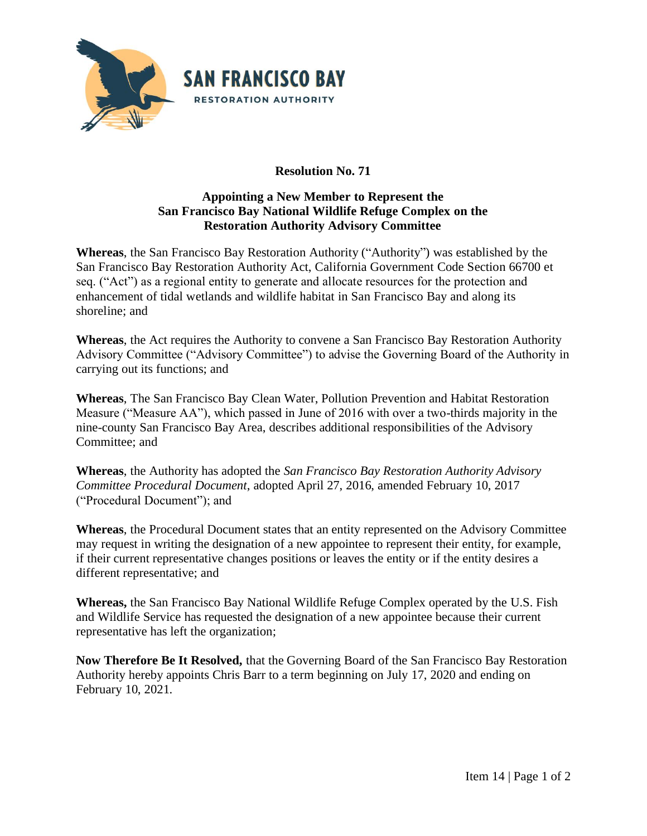

## **Resolution No. 71**

## **Appointing a New Member to Represent the San Francisco Bay National Wildlife Refuge Complex on the Restoration Authority Advisory Committee**

**Whereas**, the San Francisco Bay Restoration Authority ("Authority") was established by the San Francisco Bay Restoration Authority Act, California Government Code Section 66700 et seq. ("Act") as a regional entity to generate and allocate resources for the protection and enhancement of tidal wetlands and wildlife habitat in San Francisco Bay and along its shoreline; and

**Whereas**, the Act requires the Authority to convene a San Francisco Bay Restoration Authority Advisory Committee ("Advisory Committee") to advise the Governing Board of the Authority in carrying out its functions; and

**Whereas**, The San Francisco Bay Clean Water, Pollution Prevention and Habitat Restoration Measure ("Measure AA"), which passed in June of 2016 with over a two-thirds majority in the nine-county San Francisco Bay Area, describes additional responsibilities of the Advisory Committee; and

**Whereas**, the Authority has adopted the *San Francisco Bay Restoration Authority Advisory Committee Procedural Document*, adopted April 27, 2016, amended February 10, 2017 ("Procedural Document"); and

**Whereas**, the Procedural Document states that an entity represented on the Advisory Committee may request in writing the designation of a new appointee to represent their entity, for example, if their current representative changes positions or leaves the entity or if the entity desires a different representative; and

**Whereas,** the San Francisco Bay National Wildlife Refuge Complex operated by the U.S. Fish and Wildlife Service has requested the designation of a new appointee because their current representative has left the organization;

**Now Therefore Be It Resolved,** that the Governing Board of the San Francisco Bay Restoration Authority hereby appoints Chris Barr to a term beginning on July 17, 2020 and ending on February 10, 2021.